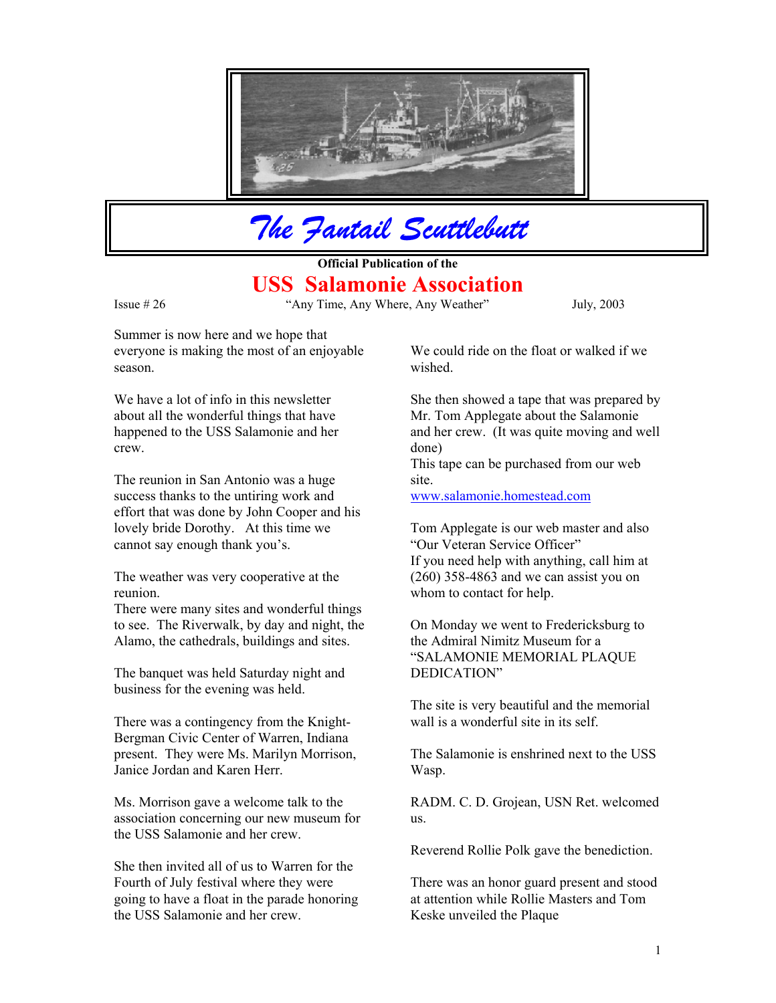

*The Fantail Scuttlebutt*

**Official Publication of the USS Salamonie Association**

Issue # 26 "Any Time, Any Where, Any Weather" July, 2003

Summer is now here and we hope that everyone is making the most of an enjoyable season.

We have a lot of info in this newsletter about all the wonderful things that have happened to the USS Salamonie and her crew.

The reunion in San Antonio was a huge site. success thanks to the untiring work and effort that was done by John Cooper and his lovely bride Dorothy. At this time we cannot say enough thank you's.

The weather was very cooperative at the reunion.

There were many sites and wonderful things to see. The Riverwalk, by day and night, the Alamo, the cathedrals, buildings and sites.

The banquet was held Saturday night and DEDICATION" business for the evening was held.

There was a contingency from the Knight- wall is a wonderful site in its self. Bergman Civic Center of Warren, Indiana present. They were Ms. Marilyn Morrison, Janice Jordan and Karen Herr.

Ms. Morrison gave a welcome talk to the association concerning our new museum for the USS Salamonie and her crew.

She then invited all of us to Warren for the Fourth of July festival where they were going to have a float in the parade honoring the USS Salamonie and her crew.

We could ride on the float or walked if we wished.

She then showed a tape that was prepared by Mr. Tom Applegate about the Salamonie and her crew. (It was quite moving and well done)

This tape can be purchased from our web

[www.salamonie.homestead.com](http://www.salamonie.homestead.com/)

Tom Applegate is our web master and also "Our Veteran Service Officer" If you need help with anything, call him at (260) 358-4863 and we can assist you on whom to contact for help.

On Monday we went to Fredericksburg to the Admiral Nimitz Museum for a "SALAMONIE MEMORIAL PLAQUE

The site is very beautiful and the memorial

The Salamonie is enshrined next to the USS Wasp.

RADM. C. D. Grojean, USN Ret. welcomed us.

Reverend Rollie Polk gave the benediction.

There was an honor guard present and stood at attention while Rollie Masters and Tom Keske unveiled the Plaque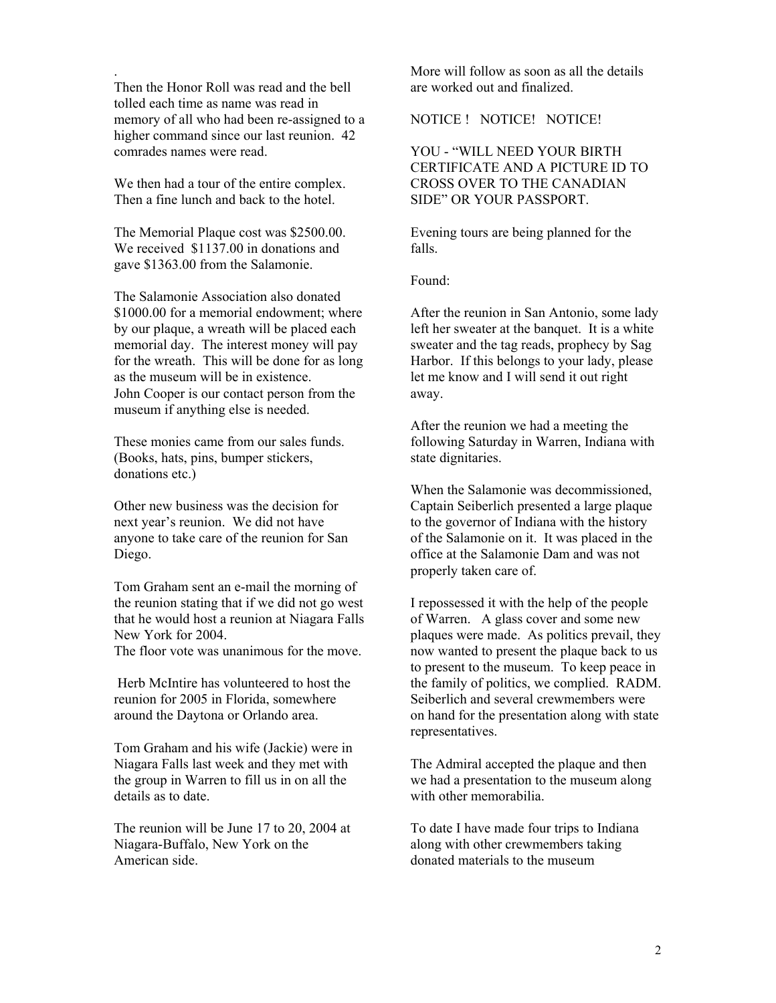Then the Honor Roll was read and the bell are worked out and finalized. tolled each time as name was read in memory of all who had been re-assigned to a higher command since our last reunion. 42 comrades names were read.

We then had a tour of the entire complex. Then a fine lunch and back to the hotel.

The Memorial Plaque cost was \$2500.00. We received  $$1137.00$  in donations and gave \$1363.00 from the Salamonie.

The Salamonie Association also donated \$1000.00 for a memorial endowment; where by our plaque, a wreath will be placed each memorial day. The interest money will pay for the wreath. This will be done for as long as the museum will be in existence. John Cooper is our contact person from the away. museum if anything else is needed.

These monies came from our sales funds. (Books, hats, pins, bumper stickers, donations etc.)

Other new business was the decision for next year's reunion. We did not have anyone to take care of the reunion for San Diego.

Tom Graham sent an e-mail the morning of the reunion stating that if we did not go west that he would host a reunion at Niagara Falls New York for 2004.

The floor vote was unanimous for the move.

 Herb McIntire has volunteered to host the reunion for 2005 in Florida, somewhere around the Daytona or Orlando area.

Tom Graham and his wife (Jackie) were in Niagara Falls last week and they met with the group in Warren to fill us in on all the details as to date.

The reunion will be June 17 to 20, 2004 at Niagara-Buffalo, New York on the American side.

. More will follow as soon as all the details

NOTICE ! NOTICE! NOTICE!

YOU - "WILL NEED YOUR BIRTH CERTIFICATE AND A PICTURE ID TO CROSS OVER TO THE CANADIAN SIDE" OR YOUR PASSPORT.

Evening tours are being planned for the falls.

Found:

After the reunion in San Antonio, some lady left her sweater at the banquet. It is a white sweater and the tag reads, prophecy by Sag Harbor. If this belongs to your lady, please let me know and I will send it out right

After the reunion we had a meeting the following Saturday in Warren, Indiana with state dignitaries.

When the Salamonie was decommissioned, Captain Seiberlich presented a large plaque to the governor of Indiana with the history of the Salamonie on it. It was placed in the office at the Salamonie Dam and was not properly taken care of.

I repossessed it with the help of the people of Warren. A glass cover and some new plaques were made. As politics prevail, they now wanted to present the plaque back to us to present to the museum. To keep peace in the family of politics, we complied. RADM. Seiberlich and several crewmembers were on hand for the presentation along with state representatives.

The Admiral accepted the plaque and then we had a presentation to the museum along with other memorabilia.

To date I have made four trips to Indiana along with other crewmembers taking donated materials to the museum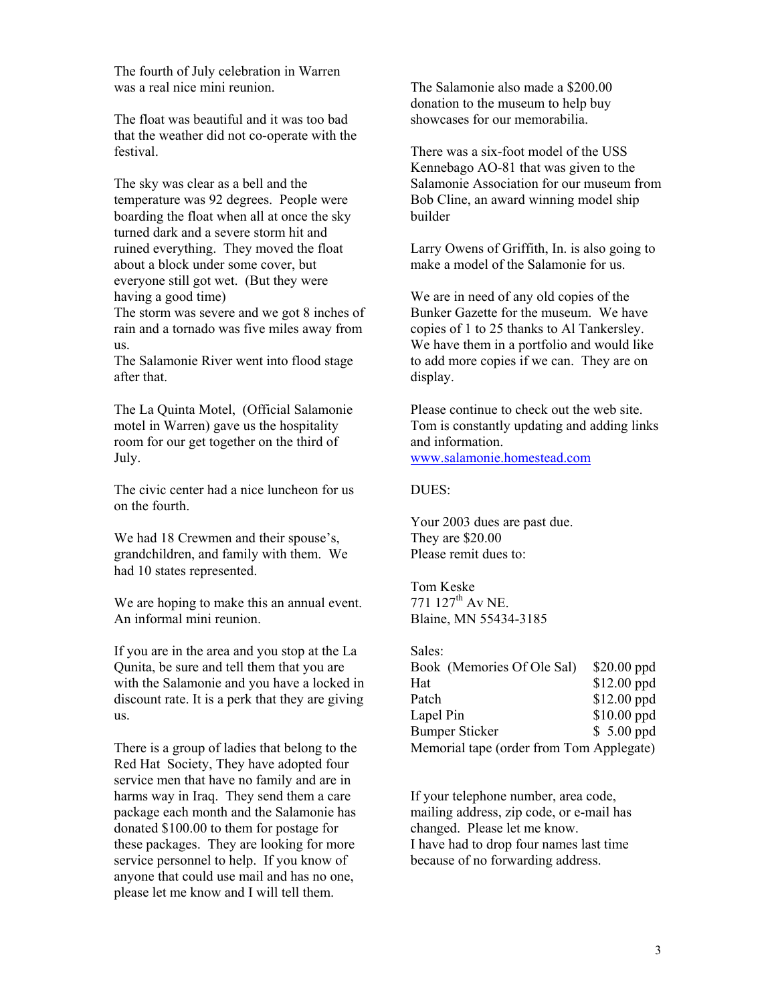The fourth of July celebration in Warren was a real nice mini reunion. The Salamonie also made a \$200.00

The float was beautiful and it was too bad showcases for our memorabilia. that the weather did not co-operate with the festival. There was a six-foot model of the USS

The sky was clear as a bell and the temperature was 92 degrees. People were boarding the float when all at once the sky turned dark and a severe storm hit and ruined everything. They moved the float about a block under some cover, but everyone still got wet. (But they were having a good time)

The storm was severe and we got 8 inches of rain and a tornado was five miles away from us.

The Salamonie River went into flood stage after that.

The La Quinta Motel, (Official Salamonie motel in Warren) gave us the hospitality room for our get together on the third of July.

The civic center had a nice luncheon for us DUES: on the fourth.

We had 18 Crewmen and their spouse's, They are \$20.00 grandchildren, and family with them. We had 10 states represented.

We are hoping to make this an annual event. An informal mini reunion. Blaine, MN 55434-3185

If you are in the area and you stop at the La Qunita, be sure and tell them that you are with the Salamonie and you have a locked in discount rate. It is a perk that they are giving us.

There is a group of ladies that belong to the Red Hat Society, They have adopted four service men that have no family and are in harms way in Iraq. They send them a care package each month and the Salamonie has donated \$100.00 to them for postage for these packages. They are looking for more service personnel to help. If you know of anyone that could use mail and has no one, please let me know and I will tell them.

donation to the museum to help buy

Kennebago AO-81 that was given to the Salamonie Association for our museum from Bob Cline, an award winning model ship builder

Larry Owens of Griffith, In. is also going to make a model of the Salamonie for us.

We are in need of any old copies of the Bunker Gazette for the museum. We have copies of 1 to 25 thanks to Al Tankersley. We have them in a portfolio and would like to add more copies if we can. They are on display.

Please continue to check out the web site. Tom is constantly updating and adding links and information. [www.salamonie.homestead.com](http://www.salamonie.homestead.com/)

Your 2003 dues are past due. Please remit dues to:

Tom Keske<br>771 127<sup>th</sup> Av NE.

| Sales:                                   |              |
|------------------------------------------|--------------|
| Book (Memories Of Ole Sal)               | $$20.00$ ppd |
| Hat                                      | \$12.00 ppd  |
| Patch                                    | \$12.00 ppd  |
| Lapel Pin                                | \$10.00 ppd  |
| <b>Bumper Sticker</b>                    | \$ 5.00 ppd  |
| Memorial tape (order from Tom Applegate) |              |

If your telephone number, area code, mailing address, zip code, or e-mail has changed. Please let me know. I have had to drop four names last time because of no forwarding address.